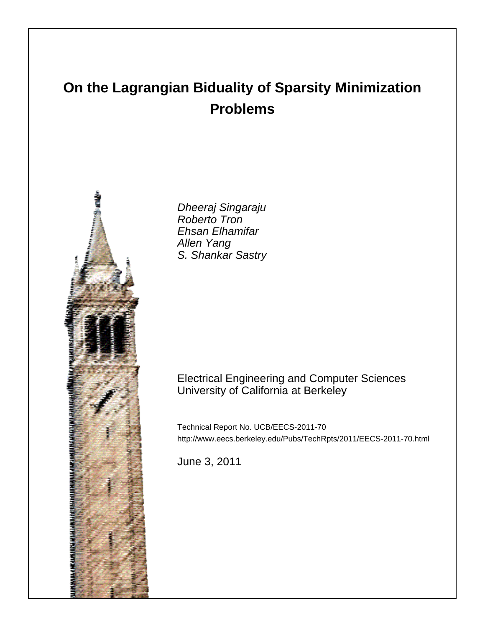# **On the Lagrangian Biduality of Sparsity Minimization Problems**



Dheeraj Singaraju Roberto Tron Ehsan Elhamifar Allen Yang S. Shankar Sastry

# Electrical Engineering and Computer Sciences University of California at Berkeley

Technical Report No. UCB/EECS-2011-70 http://www.eecs.berkeley.edu/Pubs/TechRpts/2011/EECS-2011-70.html

June 3, 2011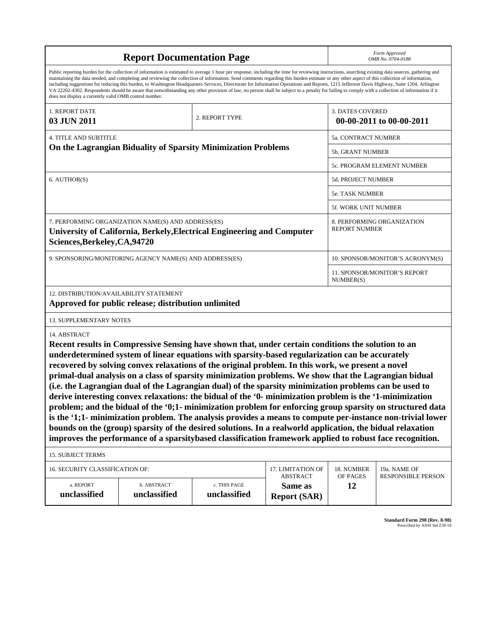|                                                                                                                                                                                                                                                                                                                                                                                                                                                                                                                                                                                                                                                                                                                                                                                                                                                                    | Form Approved<br>OMB No. 0704-0188                                                                                                                                                                                                                                                                                                                                                                                                                                                                                                                                                                                                                                                                                                                                                                                                                                                                                                                                                                                                                                                             |                              |                                                   |                         |                                                    |  |  |
|--------------------------------------------------------------------------------------------------------------------------------------------------------------------------------------------------------------------------------------------------------------------------------------------------------------------------------------------------------------------------------------------------------------------------------------------------------------------------------------------------------------------------------------------------------------------------------------------------------------------------------------------------------------------------------------------------------------------------------------------------------------------------------------------------------------------------------------------------------------------|------------------------------------------------------------------------------------------------------------------------------------------------------------------------------------------------------------------------------------------------------------------------------------------------------------------------------------------------------------------------------------------------------------------------------------------------------------------------------------------------------------------------------------------------------------------------------------------------------------------------------------------------------------------------------------------------------------------------------------------------------------------------------------------------------------------------------------------------------------------------------------------------------------------------------------------------------------------------------------------------------------------------------------------------------------------------------------------------|------------------------------|---------------------------------------------------|-------------------------|----------------------------------------------------|--|--|
| Public reporting burden for the collection of information is estimated to average 1 hour per response, including the time for reviewing instructions, searching existing data sources, gathering and<br>maintaining the data needed, and completing and reviewing the collection of information. Send comments regarding this burden estimate or any other aspect of this collection of information,<br>including suggestions for reducing this burden, to Washington Headquarters Services, Directorate for Information Operations and Reports, 1215 Jefferson Davis Highway, Suite 1204, Arlington<br>VA 22202-4302. Respondents should be aware that notwithstanding any other provision of law, no person shall be subject to a penalty for failing to comply with a collection of information if it<br>does not display a currently valid OMB control number. |                                                                                                                                                                                                                                                                                                                                                                                                                                                                                                                                                                                                                                                                                                                                                                                                                                                                                                                                                                                                                                                                                                |                              |                                                   |                         |                                                    |  |  |
| 1. REPORT DATE<br>03 JUN 2011                                                                                                                                                                                                                                                                                                                                                                                                                                                                                                                                                                                                                                                                                                                                                                                                                                      |                                                                                                                                                                                                                                                                                                                                                                                                                                                                                                                                                                                                                                                                                                                                                                                                                                                                                                                                                                                                                                                                                                | 2. REPORT TYPE               |                                                   | <b>3. DATES COVERED</b> | 00-00-2011 to 00-00-2011                           |  |  |
| <b>4. TITLE AND SUBTITLE</b>                                                                                                                                                                                                                                                                                                                                                                                                                                                                                                                                                                                                                                                                                                                                                                                                                                       |                                                                                                                                                                                                                                                                                                                                                                                                                                                                                                                                                                                                                                                                                                                                                                                                                                                                                                                                                                                                                                                                                                |                              | 5a. CONTRACT NUMBER                               |                         |                                                    |  |  |
|                                                                                                                                                                                                                                                                                                                                                                                                                                                                                                                                                                                                                                                                                                                                                                                                                                                                    | On the Lagrangian Biduality of Sparsity Minimization Problems                                                                                                                                                                                                                                                                                                                                                                                                                                                                                                                                                                                                                                                                                                                                                                                                                                                                                                                                                                                                                                  |                              | <b>5b. GRANT NUMBER</b>                           |                         |                                                    |  |  |
|                                                                                                                                                                                                                                                                                                                                                                                                                                                                                                                                                                                                                                                                                                                                                                                                                                                                    |                                                                                                                                                                                                                                                                                                                                                                                                                                                                                                                                                                                                                                                                                                                                                                                                                                                                                                                                                                                                                                                                                                |                              | 5c. PROGRAM ELEMENT NUMBER                        |                         |                                                    |  |  |
| 6. AUTHOR(S)                                                                                                                                                                                                                                                                                                                                                                                                                                                                                                                                                                                                                                                                                                                                                                                                                                                       |                                                                                                                                                                                                                                                                                                                                                                                                                                                                                                                                                                                                                                                                                                                                                                                                                                                                                                                                                                                                                                                                                                |                              |                                                   |                         | 5d. PROJECT NUMBER                                 |  |  |
|                                                                                                                                                                                                                                                                                                                                                                                                                                                                                                                                                                                                                                                                                                                                                                                                                                                                    |                                                                                                                                                                                                                                                                                                                                                                                                                                                                                                                                                                                                                                                                                                                                                                                                                                                                                                                                                                                                                                                                                                |                              |                                                   |                         | 5e. TASK NUMBER                                    |  |  |
|                                                                                                                                                                                                                                                                                                                                                                                                                                                                                                                                                                                                                                                                                                                                                                                                                                                                    |                                                                                                                                                                                                                                                                                                                                                                                                                                                                                                                                                                                                                                                                                                                                                                                                                                                                                                                                                                                                                                                                                                |                              |                                                   |                         | 5f. WORK UNIT NUMBER                               |  |  |
| 7. PERFORMING ORGANIZATION NAME(S) AND ADDRESS(ES)<br>University of California, Berkely, Electrical Engineering and Computer<br>Sciences, Berkeley, CA, 94720                                                                                                                                                                                                                                                                                                                                                                                                                                                                                                                                                                                                                                                                                                      |                                                                                                                                                                                                                                                                                                                                                                                                                                                                                                                                                                                                                                                                                                                                                                                                                                                                                                                                                                                                                                                                                                |                              |                                                   |                         | 8. PERFORMING ORGANIZATION<br><b>REPORT NUMBER</b> |  |  |
|                                                                                                                                                                                                                                                                                                                                                                                                                                                                                                                                                                                                                                                                                                                                                                                                                                                                    | 9. SPONSORING/MONITORING AGENCY NAME(S) AND ADDRESS(ES)                                                                                                                                                                                                                                                                                                                                                                                                                                                                                                                                                                                                                                                                                                                                                                                                                                                                                                                                                                                                                                        |                              | 10. SPONSOR/MONITOR'S ACRONYM(S)                  |                         |                                                    |  |  |
|                                                                                                                                                                                                                                                                                                                                                                                                                                                                                                                                                                                                                                                                                                                                                                                                                                                                    |                                                                                                                                                                                                                                                                                                                                                                                                                                                                                                                                                                                                                                                                                                                                                                                                                                                                                                                                                                                                                                                                                                |                              | 11. SPONSOR/MONITOR'S REPORT<br>NUMBER(S)         |                         |                                                    |  |  |
| 12. DISTRIBUTION/AVAILABILITY STATEMENT<br>Approved for public release; distribution unlimited                                                                                                                                                                                                                                                                                                                                                                                                                                                                                                                                                                                                                                                                                                                                                                     |                                                                                                                                                                                                                                                                                                                                                                                                                                                                                                                                                                                                                                                                                                                                                                                                                                                                                                                                                                                                                                                                                                |                              |                                                   |                         |                                                    |  |  |
| 13. SUPPLEMENTARY NOTES                                                                                                                                                                                                                                                                                                                                                                                                                                                                                                                                                                                                                                                                                                                                                                                                                                            |                                                                                                                                                                                                                                                                                                                                                                                                                                                                                                                                                                                                                                                                                                                                                                                                                                                                                                                                                                                                                                                                                                |                              |                                                   |                         |                                                    |  |  |
| 14. ABSTRACT                                                                                                                                                                                                                                                                                                                                                                                                                                                                                                                                                                                                                                                                                                                                                                                                                                                       | Recent results in Compressive Sensing have shown that, under certain conditions the solution to an<br>underdetermined system of linear equations with sparsity-based regularization can be accurately<br>recovered by solving convex relaxations of the original problem. In this work, we present a novel<br>primal-dual analysis on a class of sparsity minimization problems. We show that the Lagrangian bidual<br>(i.e. the Lagrangian dual of the Lagrangian dual) of the sparsity minimization problems can be used to<br>derive interesting convex relaxations: the bidual of the '0- minimization problem is the '1-minimization<br>problem; and the bidual of the '0;1- minimization problem for enforcing group sparsity on structured data<br>is the '1;1- minimization problem. The analysis provides a means to compute per-instance non-trivial lower<br>bounds on the (group) sparsity of the desired solutions. In a realworld application, the bidual relaxation<br>improves the performance of a sparsitybased classification framework applied to robust face recognition. |                              |                                                   |                         |                                                    |  |  |
| <b>15. SUBJECT TERMS</b>                                                                                                                                                                                                                                                                                                                                                                                                                                                                                                                                                                                                                                                                                                                                                                                                                                           |                                                                                                                                                                                                                                                                                                                                                                                                                                                                                                                                                                                                                                                                                                                                                                                                                                                                                                                                                                                                                                                                                                |                              |                                                   |                         |                                                    |  |  |
| 16. SECURITY CLASSIFICATION OF:                                                                                                                                                                                                                                                                                                                                                                                                                                                                                                                                                                                                                                                                                                                                                                                                                                    | 17. LIMITATION OF                                                                                                                                                                                                                                                                                                                                                                                                                                                                                                                                                                                                                                                                                                                                                                                                                                                                                                                                                                                                                                                                              | 18. NUMBER                   | 19a. NAME OF                                      |                         |                                                    |  |  |
| a. REPORT<br>unclassified                                                                                                                                                                                                                                                                                                                                                                                                                                                                                                                                                                                                                                                                                                                                                                                                                                          | b. ABSTRACT<br>unclassified                                                                                                                                                                                                                                                                                                                                                                                                                                                                                                                                                                                                                                                                                                                                                                                                                                                                                                                                                                                                                                                                    | c. THIS PAGE<br>unclassified | <b>ABSTRACT</b><br>Same as<br><b>Report (SAR)</b> | OF PAGES<br>12          | <b>RESPONSIBLE PERSON</b>                          |  |  |

**Standard Form 298 (Rev. 8-98)**<br>Prescribed by ANSI Std Z39-18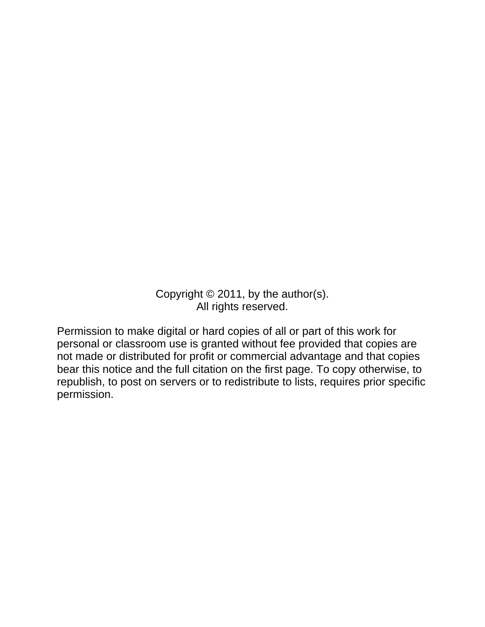Copyright © 2011, by the author(s). All rights reserved.

Permission to make digital or hard copies of all or part of this work for personal or classroom use is granted without fee provided that copies are not made or distributed for profit or commercial advantage and that copies bear this notice and the full citation on the first page. To copy otherwise, to republish, to post on servers or to redistribute to lists, requires prior specific permission.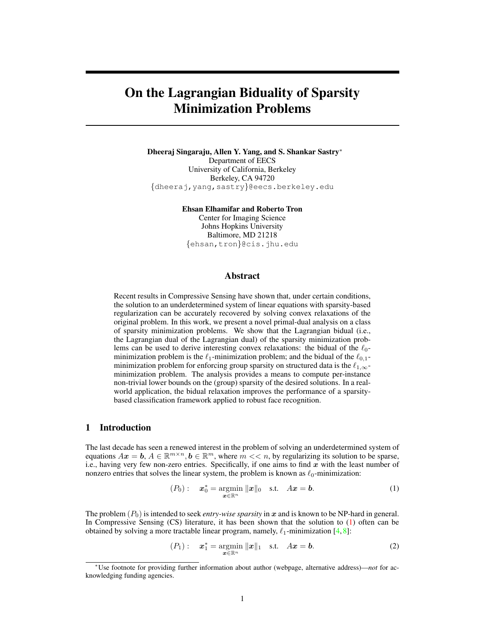# On the Lagrangian Biduality of Sparsity Minimization Problems

Dheeraj Singaraju, Allen Y. Yang, and S. Shankar Sastry<sup>∗</sup> Department of EECS University of California, Berkeley Berkeley, CA 94720 {dheeraj,yang,sastry}@eecs.berkeley.edu

Ehsan Elhamifar and Roberto Tron

Center for Imaging Science Johns Hopkins University Baltimore, MD 21218 {ehsan,tron}@cis.jhu.edu

#### Abstract

Recent results in Compressive Sensing have shown that, under certain conditions, the solution to an underdetermined system of linear equations with sparsity-based regularization can be accurately recovered by solving convex relaxations of the original problem. In this work, we present a novel primal-dual analysis on a class of sparsity minimization problems. We show that the Lagrangian bidual (i.e., the Lagrangian dual of the Lagrangian dual) of the sparsity minimization problems can be used to derive interesting convex relaxations: the bidual of the  $\ell_0$ minimization problem is the  $\ell_1$ -minimization problem; and the bidual of the  $\ell_{0,1}$ minimization problem for enforcing group sparsity on structured data is the  $\ell_{1,\infty}$ minimization problem. The analysis provides a means to compute per-instance non-trivial lower bounds on the (group) sparsity of the desired solutions. In a realworld application, the bidual relaxation improves the performance of a sparsitybased classification framework applied to robust face recognition.

### 1 Introduction

The last decade has seen a renewed interest in the problem of solving an underdetermined system of equations  $Ax = b$ ,  $A \in \mathbb{R}^{m \times n}$ ,  $b \in \mathbb{R}^m$ , where  $m \ll n$ , by regularizing its solution to be sparse, i.e., having very few non-zero entries. Specifically, if one aims to find  $x$  with the least number of nonzero entries that solves the linear system, the problem is known as  $\ell_0$ -minimization:

$$
(P_0): \t\mathbf{x}_0^* = \underset{\mathbf{x} \in \mathbb{R}^n}{\operatorname{argmin}} \|\mathbf{x}\|_0 \quad \text{s.t.} \quad A\mathbf{x} = \mathbf{b}.
$$
 (1)

The problem  $(P_0)$  is intended to seek *entry-wise sparsity* in x and is known to be NP-hard in general. In Compressive Sensing (CS) literature, it has been shown that the solution to (1) often can be obtained by solving a more tractable linear program, namely,  $\ell_1$ -minimization [4,8]:

$$
(P_1): \t\mathbf{x}_1^* = \underset{\boldsymbol{x} \in \mathbb{R}^n}{\operatorname{argmin}} \|\boldsymbol{x}\|_1 \quad \text{s.t.} \quad A\boldsymbol{x} = \boldsymbol{b}.\tag{2}
$$

<sup>∗</sup>Use footnote for providing further information about author (webpage, alternative address)—*not* for acknowledging funding agencies.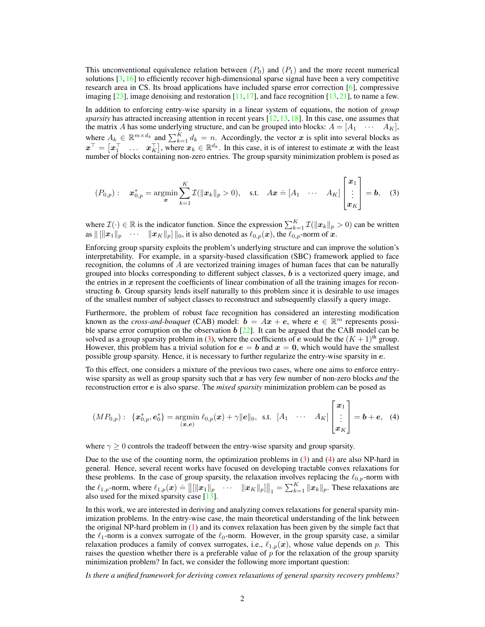This unconventional equivalence relation between  $(P_0)$  and  $(P_1)$  and the more recent numerical solutions  $[3, 16]$  to efficiently recover high-dimensional sparse signal have been a very competitive research area in CS. Its broad applications have included sparse error correction  $[6]$ , compressive imaging  $[23]$ , image denoising and restoration  $[11,17]$ , and face recognition  $[13,21]$ , to name a few.

In addition to enforcing entry-wise sparsity in a linear system of equations, the notion of *group sparsity* has attracted increasing attention in recent years [12, 13, 18]. In this case, one assumes that the matrix A has some underlying structure, and can be grouped into blocks:  $A = \begin{bmatrix} A_1 & \cdots & A_K \end{bmatrix}$ , where  $A_k \in \mathbb{R}^{m \times d_k}$  and  $\sum_{k=1}^{K} d_k = n$ . Accordingly, the vector x is split into several blocks as  $x^{\top} = \begin{bmatrix} x_1^{\top} & \dots & x_K^{\top} \end{bmatrix}$ , where  $x_k \in \mathbb{R}^{d_k}$ . In this case, it is of interest to estimate x with the least number of blocks containing non-zero entries. The group sparsity minimization problem is posed as

$$
(P_{0,p}): \quad \boldsymbol{x}_{0,p}^* = \underset{\boldsymbol{x}}{\operatorname{argmin}} \sum_{k=1}^K \mathcal{I}(\|\boldsymbol{x}_k\|_p > 0), \quad \text{s.t.} \quad A\boldsymbol{x} \doteq [A_1 \quad \cdots \quad A_K] \begin{bmatrix} \boldsymbol{x}_1 \\ \vdots \\ \boldsymbol{x}_K \end{bmatrix} = \boldsymbol{b}, \quad (3)
$$

where  $\mathcal{I}(\cdot) \in \mathbb{R}$  is the indicator function. Since the expression  $\sum_{k=1}^{K} \mathcal{I}(\Vert \mathbf{x}_k \Vert_p > 0)$  can be written as  $\|[\|x_1\|_p$   $\cdots$   $\|x_K\|_p]$   $\|_0$ , it is also denoted as  $\ell_{0,p}(\bm{x})$ , the  $\ell_{0,p}$ -norm of  $\bm{x}$ .

Enforcing group sparsity exploits the problem's underlying structure and can improve the solution's interpretability. For example, in a sparsity-based classification (SBC) framework applied to face recognition, the columns of A are vectorized training images of human faces that can be naturally grouped into blocks corresponding to different subject classes,  $\boldsymbol{b}$  is a vectorized query image, and the entries in  $x$  represent the coefficients of linear combination of all the training images for reconstructing b. Group sparsity lends itself naturally to this problem since it is desirable to use images of the smallest number of subject classes to reconstruct and subsequently classify a query image.

Furthermore, the problem of robust face recognition has considered an interesting modification known as the *cross-and-bouquet* (CAB) model:  $\mathbf{b} = Ax + e$ , where  $\mathbf{e} \in \mathbb{R}^m$  represents possible sparse error corruption on the observation  $b$  [22]. It can be argued that the CAB model can be solved as a group sparsity problem in (3), where the coefficients of e would be the  $(K + 1)$ <sup>th</sup> group. However, this problem has a trivial solution for  $e = b$  and  $x = 0$ , which would have the smallest possible group sparsity. Hence, it is necessary to further regularize the entry-wise sparsity in e.

To this effect, one considers a mixture of the previous two cases, where one aims to enforce entrywise sparsity as well as group sparsity such that x has very few number of non-zero blocks *and* the reconstruction error e is also sparse. The *mixed sparsity* minimization problem can be posed as

$$
(MP_{0,p}): \ \left\{ \boldsymbol{x}_{0,p}^{*}, \boldsymbol{e}_{0}^{*} \right\} = \underset{(\boldsymbol{x}, \boldsymbol{e})}{\operatorname{argmin}} \ \ell_{0,p}(\boldsymbol{x}) + \gamma ||\boldsymbol{e}||_{0}, \ \text{ s.t.} \ \left[ A_{1} \quad \cdots \quad A_{K} \right] \begin{bmatrix} \boldsymbol{x}_{1} \\ \vdots \\ \boldsymbol{x}_{K} \end{bmatrix} = \boldsymbol{b} + \boldsymbol{e}, \ \ (4)
$$

where  $\gamma \geq 0$  controls the tradeoff between the entry-wise sparsity and group sparsity.

Due to the use of the counting norm, the optimization problems in (3) and (4) are also NP-hard in general. Hence, several recent works have focused on developing tractable convex relaxations for these problems. In the case of group sparsity, the relaxation involves replacing the  $\ell_{0,p}$ -norm with the  $\ell_{1,p}$ -norm, where  $\ell_{1,p}(\boldsymbol{x}) = ||\|\boldsymbol{x}_1\|_p$   $\cdots$   $\|\boldsymbol{x}_K\|_p\|\|_1 = \sum_{k=1}^K \|\boldsymbol{x}_k\|_p$ . These relaxations are also used for the mixed sparsity case [13].

In this work, we are interested in deriving and analyzing convex relaxations for general sparsity minimization problems. In the entry-wise case, the main theoretical understanding of the link between the original NP-hard problem in (1) and its convex relaxation has been given by the simple fact that the  $\ell_1$ -norm is a convex surrogate of the  $\ell_0$ -norm. However, in the group sparsity case, a similar relaxation produces a family of convex surrogates, i.e.,  $\ell_{1,p}(x)$ , whose value depends on p. This raises the question whether there is a preferable value of  $p$  for the relaxation of the group sparsity minimization problem? In fact, we consider the following more important question:

*Is there a unified framework for deriving convex relaxations of general sparsity recovery problems?*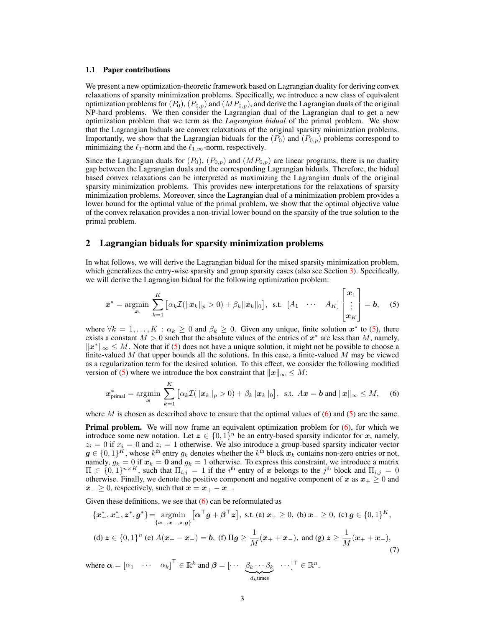#### 1.1 Paper contributions

We present a new optimization-theoretic framework based on Lagrangian duality for deriving convex relaxations of sparsity minimization problems. Specifically, we introduce a new class of equivalent optimization problems for  $(P_0)$ ,  $(P_{0,p})$  and  $(MP_{0,p})$ , and derive the Lagrangian duals of the original NP-hard problems. We then consider the Lagrangian dual of the Lagrangian dual to get a new optimization problem that we term as the *Lagrangian bidual* of the primal problem. We show that the Lagrangian biduals are convex relaxations of the original sparsity minimization problems. Importantly, we show that the Lagrangian biduals for the  $(P_0)$  and  $(P_{0,p})$  problems correspond to minimizing the  $\ell_1$ -norm and the  $\ell_{1,\infty}$ -norm, respectively.

Since the Lagrangian duals for  $(P_0)$ ,  $(P_{0,p})$  and  $(MP_{0,p})$  are linear programs, there is no duality gap between the Lagrangian duals and the corresponding Lagrangian biduals. Therefore, the bidual based convex relaxations can be interpreted as maximizing the Lagrangian duals of the original sparsity minimization problems. This provides new interpretations for the relaxations of sparsity minimization problems. Moreover, since the Lagrangian dual of a minimization problem provides a lower bound for the optimal value of the primal problem, we show that the optimal objective value of the convex relaxation provides a non-trivial lower bound on the sparsity of the true solution to the primal problem.

#### 2 Lagrangian biduals for sparsity minimization problems

In what follows, we will derive the Lagrangian bidual for the mixed sparsity minimization problem, which generalizes the entry-wise sparsity and group sparsity cases (also see Section 3). Specifically, we will derive the Lagrangian bidual for the following optimization problem:

$$
\boldsymbol{x}^* = \operatorname*{argmin}_{\boldsymbol{x}} \sum_{k=1}^K \left[ \alpha_k \mathcal{I}(\|\boldsymbol{x}_k\|_p > 0) + \beta_k \|\boldsymbol{x}_k\|_0 \right], \text{ s.t. } [A_1 \quad \cdots \quad A_K] \begin{bmatrix} \boldsymbol{x}_1 \\ \vdots \\ \boldsymbol{x}_K \end{bmatrix} = \boldsymbol{b}, \quad (5)
$$

where  $\forall k = 1, ..., K : \alpha_k \geq 0$  and  $\beta_k \geq 0$ . Given any unique, finite solution  $x^*$  to (5), there exists a constant  $M > 0$  such that the absolute values of the entries of  $x^*$  are less than M, namely,  $||x^*||_{\infty} \leq M$ . Note that if (5) does not have a unique solution, it might not be possible to choose a finite-valued M that upper bounds all the solutions. In this case, a finite-valued M may be viewed as a regularization term for the desired solution. To this effect, we consider the following modified version of (5) where we introduce the box constraint that  $||x||_{\infty} \leq M$ :

$$
\boldsymbol{x}_{\text{primal}}^* = \underset{\boldsymbol{x}}{\operatorname{argmin}} \sum_{k=1}^K \left[ \alpha_k \mathcal{I}(\|\boldsymbol{x}_k\|_p > 0) + \beta_k \|\boldsymbol{x}_k\|_0 \right], \text{ s.t. } A\boldsymbol{x} = \boldsymbol{b} \text{ and } \|\boldsymbol{x}\|_\infty \le M, \quad (6)
$$

where M is chosen as described above to ensure that the optimal values of  $(6)$  and  $(5)$  are the same.

Primal problem. We will now frame an equivalent optimization problem for (6), for which we introduce some new notation. Let  $z \in \{0,1\}^n$  be an entry-based sparsity indicator for x, namely,  $z_i = 0$  if  $x_i = 0$  and  $z_i = 1$  otherwise. We also introduce a group-based sparsity indicator vector  $\bm{g} \in \{0,1\}^K$ , whose  $k^\text{th}$  entry  $g_k$  denotes whether the  $k^\text{th}$  block  $\bm{x}_k$  contains non-zero entries or not, namely,  $g_k = 0$  if  $x_k = 0$  and  $g_k = 1$  otherwise. To express this constraint, we introduce a matrix  $\Pi \in \{0,1\}^{n \times K}$ , such that  $\Pi_{i,j} = 1$  if the i<sup>th</sup> entry of x belongs to the j<sup>th</sup> block and  $\Pi_{i,j} = 0$ otherwise. Finally, we denote the positive component and negative component of x as  $x_+ \geq 0$  and  $x_-\geq 0$ , respectively, such that  $x = x_+ - x_-.$ 

Given these definitions, we see that  $(6)$  can be reformulated as

$$
\begin{aligned} \{\boldsymbol{x}_{+}^{*}, \boldsymbol{x}_{-}^{*}, \boldsymbol{z}^{*}, \boldsymbol{g}^{*}\} &= \operatorname*{argmin}_{\{\boldsymbol{x}_{+}, \boldsymbol{x}_{-}, \boldsymbol{z}, \boldsymbol{g}\}} \left[\boldsymbol{\alpha}^{\top} \boldsymbol{g} + \boldsymbol{\beta}^{\top} \boldsymbol{z}\right], \text{ s.t. (a) } \boldsymbol{x}_{+} \geq 0, \text{ (b) } \boldsymbol{x}_{-} \geq 0, \text{ (c) } \boldsymbol{g} \in \{0, 1\}^{K}, \\ \text{(d) } \boldsymbol{z} \in \{0, 1\}^{n} \text{ (e) } A(\boldsymbol{x}_{+} - \boldsymbol{x}_{-}) &= \boldsymbol{b}, \text{ (f) } \Pi \boldsymbol{g} \geq \frac{1}{M}(\boldsymbol{x}_{+} + \boldsymbol{x}_{-}), \text{ and (g) } \boldsymbol{z} \geq \frac{1}{M}(\boldsymbol{x}_{+} + \boldsymbol{x}_{-}), \end{aligned} \tag{7}
$$

where  $\boldsymbol{\alpha} = [\alpha_1 \quad \cdots \quad \alpha_k]^\top \in \mathbb{R}^k$  and  $\boldsymbol{\beta} = [\cdots \quad \beta_k \cdots \beta_k]$  $d_k$ times  $\cdots$ ]<sup>T</sup>  $\in \mathbb{R}^n$ .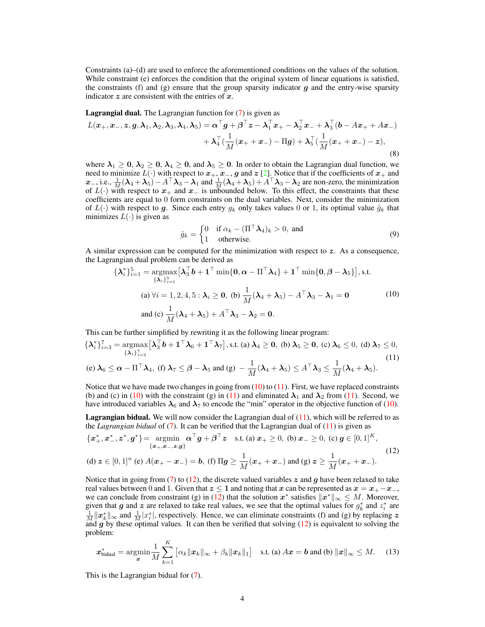Constraints (a)–(d) are used to enforce the aforementioned conditions on the values of the solution. While constraint (e) enforces the condition that the original system of linear equations is satisfied, the constraints (f) and (g) ensure that the group sparsity indicator  $g$  and the entry-wise sparsity indicator  $z$  are consistent with the entries of  $x$ .

**Lagrangial dual.** The Lagrangian function for  $(7)$  is given as

$$
L(\boldsymbol{x}_+,\boldsymbol{x}_-,\boldsymbol{z},\boldsymbol{g},\boldsymbol{\lambda}_1,\boldsymbol{\lambda}_2,\boldsymbol{\lambda}_3,\boldsymbol{\lambda}_4,\boldsymbol{\lambda}_5) = \boldsymbol{\alpha}^\top \boldsymbol{g} + \boldsymbol{\beta}^\top \boldsymbol{z} - \boldsymbol{\lambda}_1^\top \boldsymbol{x}_+ - \boldsymbol{\lambda}_2^\top \boldsymbol{x}_- + \boldsymbol{\lambda}_3^\top (\boldsymbol{b} - A\boldsymbol{x}_+ + A\boldsymbol{x}_-) + \boldsymbol{\lambda}_4^\top (\frac{1}{M}(\boldsymbol{x}_+ + \boldsymbol{x}_-) - \Pi \boldsymbol{g}) + \boldsymbol{\lambda}_5^\top (\frac{1}{M}(\boldsymbol{x}_+ + \boldsymbol{x}_-) - \boldsymbol{z}),
$$
\n(8)

where  $\lambda_1 \geq 0$ ,  $\lambda_2 \geq 0$ ,  $\lambda_4 \geq 0$ , and  $\lambda_5 \geq 0$ . In order to obtain the Lagrangian dual function, we need to minimize  $L(\cdot)$  with respect to  $x_+, x_-, g$  and  $z$  [2]. Notice that if the coefficients of  $x_+$  and  $x_-,$  i.e.,  $\frac{1}{M}(\lambda_4 + \lambda_5) - A^\top \lambda_3 - \lambda_1$  and  $\frac{1}{M}(\lambda_4 + \lambda_5) + A^\top \lambda_3 - \lambda_2$  are non-zero, the minimization of  $L(\cdot)$  with respect to  $x_+$  and  $x_-$  is unbounded below. To this effect, the constraints that these coefficients are equal to 0 form constraints on the dual variables. Next, consider the minimization of  $L(\cdot)$  with respect to g. Since each entry  $g_k$  only takes values 0 or 1, its optimal value  $\hat{g}_k$  that minimizes  $L(\cdot)$  is given as

$$
\hat{g}_k = \begin{cases} 0 & \text{if } \alpha_k - (\Pi^\top \lambda_4)_k > 0, \text{ and} \\ 1 & \text{otherwise.} \end{cases}
$$
(9)

A similar expression can be computed for the minimization with respect to  $z$ . As a consequence, the Lagrangian dual problem can be derived as

$$
\{\lambda_i^*\}_{i=1}^5 = \underset{\{\lambda_i\}_{i=1}^5}{} \arg \max \left[ \lambda_3^\top b + \mathbf{1}^\top \min \{0, \alpha - \Pi^\top \lambda_4\} + \mathbf{1}^\top \min \{0, \beta - \lambda_5\} \right], \text{s.t.}
$$
\n
$$
\text{(a) } \forall i = 1, 2, 4, 5 : \lambda_i \ge 0, \text{ (b) } \frac{1}{M}(\lambda_4 + \lambda_5) - A^\top \lambda_3 - \lambda_1 = 0 \tag{10}
$$
\n
$$
\text{and (c) } \frac{1}{M}(\lambda_4 + \lambda_5) + A^\top \lambda_3 - \lambda_2 = 0.
$$

This can be further simplified by rewriting it as the following linear program:

$$
\{\lambda_i^*\}_{i=3}^7 = \underset{\{\lambda_i\}_{i=3}^7}{} \arg \max \left[ \lambda_3^{\top} b + \mathbf{1}^{\top} \lambda_6 + \mathbf{1}^{\top} \lambda_7 \right], \text{s.t. (a) } \lambda_4 \ge 0, \text{ (b) } \lambda_5 \ge 0, \text{ (c) } \lambda_6 \le 0, \text{ (d) } \lambda_7 \le 0, \n\text{(e) } \lambda_6 \le \alpha - \Pi^{\top} \lambda_4, \text{ (f) } \lambda_7 \le \beta - \lambda_5 \text{ and (g) } -\frac{1}{M}(\lambda_4 + \lambda_5) \le A^{\top} \lambda_3 \le \frac{1}{M}(\lambda_4 + \lambda_5).
$$
\n
$$
(11)
$$

Notice that we have made two changes in going from  $(10)$  to  $(11)$ . First, we have replaced constraints (b) and (c) in (10) with the constraint (g) in (11) and eliminated  $\lambda_1$  and  $\lambda_2$  from (11). Second, we have introduced variables  $\lambda_6$  and  $\lambda_7$  to encode the "min" operator in the objective function of (10).

**Lagrangian bidual.** We will now consider the Lagrangian dual of  $(11)$ , which will be referred to as the *Lagrangian bidual* of (7). It can be verified that the Lagrangian dual of (11) is given as

$$
\begin{aligned} \{\boldsymbol{x}_{+}^{*}, \boldsymbol{x}_{-}^{*}, \boldsymbol{z}^{*}, \boldsymbol{g}^{*}\} &= \operatorname*{argmin}_{\{\boldsymbol{x}_{+}, \boldsymbol{x}_{-}, \boldsymbol{z}, \boldsymbol{g}\}} \boldsymbol{\alpha}^{\top} \boldsymbol{g} + \boldsymbol{\beta}^{\top} \boldsymbol{z} \quad \text{s.t. (a) } \boldsymbol{x}_{+} \ge 0, \text{ (b) } \boldsymbol{x}_{-} \ge 0, \text{ (c) } \boldsymbol{g} \in [0, 1]^{K}, \\ \text{(d) } \boldsymbol{z} \in [0, 1]^{n} \text{ (e) } A(\boldsymbol{x}_{+} - \boldsymbol{x}_{-}) &= \boldsymbol{b}, \text{ (f) } \Pi \boldsymbol{g} \ge \frac{1}{M}(\boldsymbol{x}_{+} + \boldsymbol{x}_{-}) \text{ and (g) } \boldsymbol{z} \ge \frac{1}{M}(\boldsymbol{x}_{+} + \boldsymbol{x}_{-}). \end{aligned} \tag{12}
$$

Notice that in going from (7) to (12), the discrete valued variables  $z$  and  $q$  have been relaxed to take real values between 0 and 1. Given that  $z \le 1$  and noting that x can be represented as  $x = x_+ - x_-,$ we can conclude from constraint (g) in (12) that the solution  $x^*$  satisfies  $||x^*||_{\infty} \leq M$ . Moreover, given that g and z are relaxed to take real values, we see that the optimal values for  $g_k^*$  and  $z_i^*$  are  $\frac{1}{M}||x_k^*||_{\infty}$  and  $\frac{1}{M}|x_i^*|$ , respectively. Hence, we can eliminate constraints (f) and (g) by replacing z and  $g$  by these optimal values. It can then be verified that solving  $(12)$  is equivalent to solving the problem:

$$
\boldsymbol{x}_{\text{bidual}}^* = \operatorname*{argmin}_{\boldsymbol{x}} \frac{1}{M} \sum_{k=1}^K \left[ \alpha_k \|\boldsymbol{x}_k\|_{\infty} + \beta_k \|\boldsymbol{x}_k\|_1 \right] \quad \text{s.t. (a) } A\boldsymbol{x} = \boldsymbol{b} \text{ and (b) } \|\boldsymbol{x}\|_{\infty} \le M. \tag{13}
$$

This is the Lagrangian bidual for (7).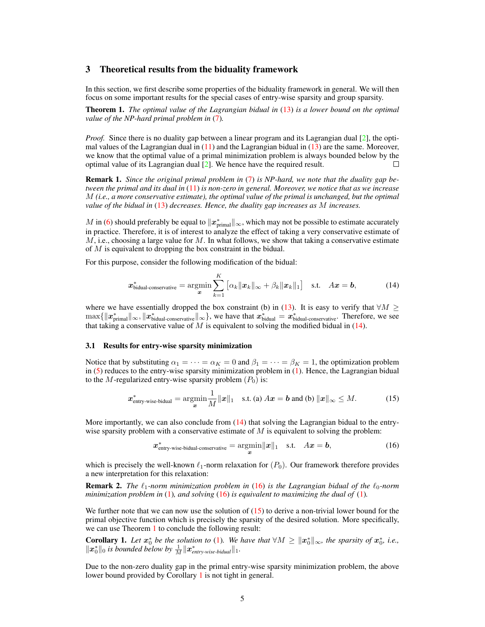## 3 Theoretical results from the biduality framework

In this section, we first describe some properties of the biduality framework in general. We will then focus on some important results for the special cases of entry-wise sparsity and group sparsity.

Theorem 1. *The optimal value of the Lagrangian bidual in* (13) *is a lower bound on the optimal value of the NP-hard primal problem in* (7)*.*

*Proof.* Since there is no duality gap between a linear program and its Lagrangian dual [2], the optimal values of the Lagrangian dual in  $(11)$  and the Lagrangian bidual in  $(13)$  are the same. Moreover, we know that the optimal value of a primal minimization problem is always bounded below by the optimal value of its Lagrangian dual [2]. We hence have the required result. П

Remark 1. *Since the original primal problem in* (7) *is NP-hard, we note that the duality gap between the primal and its dual in* (11) *is non-zero in general. Moreover, we notice that as we increase* M *(i.e., a more conservative estimate), the optimal value of the primal is unchanged, but the optimal value of the bidual in* (13) *decreases. Hence, the duality gap increases as* M *increases.*

M in (6) should preferably be equal to  $\|\bm{x}^*_{\text{primal}}\|_{\infty}$ , which may not be possible to estimate accurately in practice. Therefore, it is of interest to analyze the effect of taking a very conservative estimate of  $M$ , i.e., choosing a large value for M. In what follows, we show that taking a conservative estimate of M is equivalent to dropping the box constraint in the bidual.

For this purpose, consider the following modification of the bidual:

$$
\boldsymbol{x}_{\text{bidual-conservative}}^{*} = \underset{\boldsymbol{x}}{\operatorname{argmin}} \sum_{k=1}^{K} \left[ \alpha_k \|\boldsymbol{x}_k\|_{\infty} + \beta_k \|\boldsymbol{x}_k\|_{1} \right] \quad \text{s.t.} \quad A\boldsymbol{x} = \boldsymbol{b}, \tag{14}
$$

where we have essentially dropped the box constraint (b) in (13). It is easy to verify that  $\forall M \geq$  $\max\{\Vert x^*_{\text{primal}}\Vert_{\infty}, \Vert x^*_{\text{bidual-conservative}}\Vert_{\infty}\},$  we have that  $x^*_{\text{bidual}} = x^*_{\text{bidual-conservative}}$ . Therefore, we see that taking a conservative value of  $M$  is equivalent to solving the modified bidual in (14).

#### 3.1 Results for entry-wise sparsity minimization

Notice that by substituting  $\alpha_1 = \cdots = \alpha_K = 0$  and  $\beta_1 = \cdots = \beta_K = 1$ , the optimization problem in  $(5)$  reduces to the entry-wise sparsity minimization problem in  $(1)$ . Hence, the Lagrangian bidual to the M-regularized entry-wise sparsity problem  $(P_0)$  is:

$$
\boldsymbol{x}^*_{\text{entry-wise-bidual}} = \underset{\boldsymbol{x}}{\operatorname{argmin}} \frac{1}{M} ||\boldsymbol{x}||_1 \quad \text{s.t. (a) } A\boldsymbol{x} = \boldsymbol{b} \text{ and (b) } ||\boldsymbol{x}||_{\infty} \leq M. \tag{15}
$$

More importantly, we can also conclude from  $(14)$  that solving the Lagrangian bidual to the entrywise sparsity problem with a conservative estimate of  $M$  is equivalent to solving the problem:

$$
\boldsymbol{x}^*_{\text{entry-wise-bidual-conservative}} = \underset{\boldsymbol{x}}{\operatorname{argmin}} ||\boldsymbol{x}||_1 \quad \text{s.t.} \quad A\boldsymbol{x} = \boldsymbol{b}, \tag{16}
$$

which is precisely the well-known  $\ell_1$ -norm relaxation for  $(P_0)$ . Our framework therefore provides a new interpretation for this relaxation:

**Remark 2.** *The*  $\ell_1$ -norm minimization problem in (16) is the Lagrangian bidual of the  $\ell_0$ -norm *minimization problem in* (1)*, and solving* (16) *is equivalent to maximizing the dual of* (1)*.*

We further note that we can now use the solution of  $(15)$  to derive a non-trivial lower bound for the primal objective function which is precisely the sparsity of the desired solution. More specifically, we can use Theorem 1 to conclude the following result:

**Corollary 1.** Let  $x_0^*$  be the solution to (1). We have that  $\forall M \geq ||x_0^*||_{\infty}$ , the sparsity of  $x_0^*$ , i.e.,  $\|\boldsymbol{x}_0^*\|_0$  *is bounded below by*  $\frac{1}{M} \|\boldsymbol{x}_{entry\text{-wise-bidual}}^*\|_1$ .

Due to the non-zero duality gap in the primal entry-wise sparsity minimization problem, the above lower bound provided by Corollary 1 is not tight in general.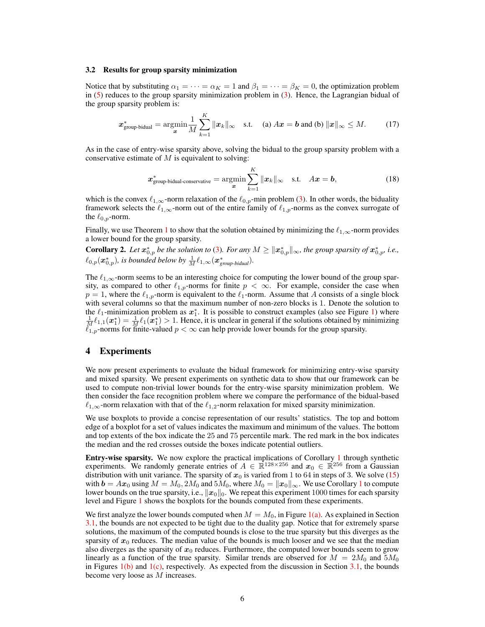#### 3.2 Results for group sparsity minimization

Notice that by substituting  $\alpha_1 = \cdots = \alpha_K = 1$  and  $\beta_1 = \cdots = \beta_K = 0$ , the optimization problem in  $(5)$  reduces to the group sparsity minimization problem in  $(3)$ . Hence, the Lagrangian bidual of the group sparsity problem is:

$$
\boldsymbol{x}^*_{\text{group-bidual}} = \underset{\boldsymbol{x}}{\text{argmin}} \frac{1}{M} \sum_{k=1}^K \|\boldsymbol{x}_k\|_{\infty} \quad \text{s.t.} \quad \text{(a) } A\boldsymbol{x} = \boldsymbol{b} \text{ and (b) } \|\boldsymbol{x}\|_{\infty} \leq M. \tag{17}
$$

As in the case of entry-wise sparsity above, solving the bidual to the group sparsity problem with a conservative estimate of  $M$  is equivalent to solving:

$$
\boldsymbol{x}^*_{\text{group-bidual-conservative}} = \underset{\boldsymbol{x}}{\text{argmin}} \sum_{k=1}^K \|\boldsymbol{x}_k\|_{\infty} \quad \text{s.t.} \quad A\boldsymbol{x} = \boldsymbol{b}, \tag{18}
$$

which is the convex  $\ell_{1,\infty}$ -norm relaxation of the  $\ell_{0,p}$ -min problem (3). In other words, the biduality framework selects the  $\ell_{1,\infty}$ -norm out of the entire family of  $\ell_{1,p}$ -norms as the convex surrogate of the  $\ell_{0,p}$ -norm.

Finally, we use Theorem 1 to show that the solution obtained by minimizing the  $\ell_{1,\infty}$ -norm provides a lower bound for the group sparsity.

**Corollary 2.** Let  $x_{0,p}^*$  be the solution to (3). For any  $M \geq ||x_{0,p}^*||_{\infty}$ , the group sparsity of  $x_{0,p}^*$ , i.e.,  $\ell_{0,p}(\boldsymbol{x}^*_{0,p})$ , is bounded below by  $\frac{1}{M} \ell_{1,\infty}(\boldsymbol{x}^*_{group-bidual})$ .

The  $\ell_{1,\infty}$ -norm seems to be an interesting choice for computing the lower bound of the group sparsity, as compared to other  $\ell_{1,p}$ -norms for finite  $p < \infty$ . For example, consider the case when  $p = 1$ , where the  $\ell_{1,p}$ -norm is equivalent to the  $\ell_1$ -norm. Assume that A consists of a single block with several columns so that the maximum number of non-zero blocks is 1. Denote the solution to the  $\ell_1$ -minimization problem as  $x_1^*$ . It is possible to construct examples (also see Figure 1) where  $\frac{1}{M} \ell_{1,1}(x_1^*) = \frac{1}{M} \ell_1(x_1^*) > 1$ . Hence, it is unclear in general if the solutions obtained by minimizing  $\ell_{1,p}$ -norms for finite-valued  $p < \infty$  can help provide lower bounds for the group sparsity.

## 4 Experiments

We now present experiments to evaluate the bidual framework for minimizing entry-wise sparsity and mixed sparsity. We present experiments on synthetic data to show that our framework can be used to compute non-trivial lower bounds for the entry-wise sparsity minimization problem. We then consider the face recognition problem where we compare the performance of the bidual-based  $\ell_{1,\infty}$ -norm relaxation with that of the  $\ell_{1,2}$ -norm relaxation for mixed sparsity minimization.

We use boxplots to provide a concise representation of our results' statistics. The top and bottom edge of a boxplot for a set of values indicates the maximum and minimum of the values. The bottom and top extents of the box indicate the 25 and 75 percentile mark. The red mark in the box indicates the median and the red crosses outside the boxes indicate potential outliers.

Entry-wise sparsity. We now explore the practical implications of Corollary 1 through synthetic experiments. We randomly generate entries of  $A \in \mathbb{R}^{128 \times 256}$  and  $x_0 \in \mathbb{R}^{256}$  from a Gaussian distribution with unit variance. The sparsity of  $x_0$  is varied from 1 to 64 in steps of 3. We solve (15) with  $\mathbf{b} = Ax_0$  using  $M = M_0, 2M_0$  and  $5M_0$ , where  $M_0 = ||x_0||_{\infty}$ . We use Corollary 1 to compute lower bounds on the true sparsity, i.e.,  $||x_0||_0$ . We repeat this experiment 1000 times for each sparsity level and Figure 1 shows the boxplots for the bounds computed from these experiments.

We first analyze the lower bounds computed when  $M = M_0$ , in Figure 1(a). As explained in Section 3.1, the bounds are not expected to be tight due to the duality gap. Notice that for extremely sparse solutions, the maximum of the computed bounds is close to the true sparsity but this diverges as the sparsity of  $x_0$  reduces. The median value of the bounds is much looser and we see that the median also diverges as the sparsity of  $x_0$  reduces. Furthermore, the computed lower bounds seem to grow linearly as a function of the true sparsity. Similar trends are observed for  $M = 2M_0$  and  $5M_0$ in Figures  $1(b)$  and  $1(c)$ , respectively. As expected from the discussion in Section 3.1, the bounds become very loose as M increases.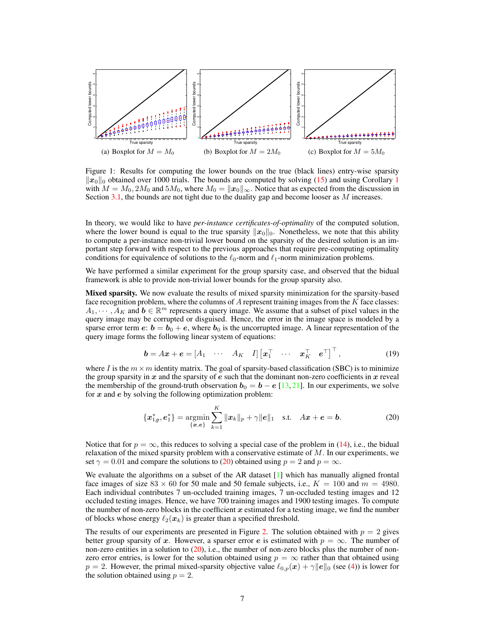

Figure 1: Results for computing the lower bounds on the true (black lines) entry-wise sparsity  $\|\dot{x}_0\|_0$  obtained over 1000 trials. The bounds are computed by solving (15) and using Corollary 1 with  $M = M_0, 2M_0$  and  $5M_0$ , where  $M_0 = ||x_0||_{\infty}$ . Notice that as expected from the discussion in Section  $3.1$ , the bounds are not tight due to the duality gap and become looser as M increases.

In theory, we would like to have *per-instance certificates-of-optimality* of the computed solution, where the lower bound is equal to the true sparsity  $||x_0||_0$ . Nonetheless, we note that this ability to compute a per-instance non-trivial lower bound on the sparsity of the desired solution is an important step forward with respect to the previous approaches that require pre-computing optimality conditions for equivalence of solutions to the  $\ell_0$ -norm and  $\ell_1$ -norm minimization problems.

We have performed a similar experiment for the group sparsity case, and observed that the bidual framework is able to provide non-trivial lower bounds for the group sparsity also.

Mixed sparsity. We now evaluate the results of mixed sparsity minimization for the sparsity-based face recognition problem, where the columns of  $A$  represent training images from the  $K$  face classes:  $A_1, \dots, A_K$  and  $b \in \mathbb{R}^m$  represents a query image. We assume that a subset of pixel values in the query image may be corrupted or disguised. Hence, the error in the image space is modeled by a sparse error term  $e: b = b_0 + e$ , where  $b_0$  is the uncorrupted image. A linear representation of the query image forms the following linear system of equations:

$$
\boldsymbol{b} = A\boldsymbol{x} + \boldsymbol{e} = \begin{bmatrix} A_1 & \cdots & A_K & I \end{bmatrix} \begin{bmatrix} \boldsymbol{x}_1^{\top} & \cdots & \boldsymbol{x}_K^{\top} & \boldsymbol{e}^{\top} \end{bmatrix}^{\top},\tag{19}
$$

where I is the  $m \times m$  identity matrix. The goal of sparsity-based classification (SBC) is to minimize the group sparsity in  $x$  and the sparsity of  $e$  such that the dominant non-zero coefficients in  $x$  reveal the membership of the ground-truth observation  $b_0 = b - e$  [13, 21]. In our experiments, we solve for  $x$  and  $e$  by solving the following optimization problem:

$$
\{\boldsymbol{x}_{1,p}^*, \boldsymbol{e}_1^*\} = \operatorname*{argmin}_{\{\boldsymbol{x}, \boldsymbol{e}\}} \sum_{k=1}^K \|\boldsymbol{x}_k\|_p + \gamma \|\boldsymbol{e}\|_1 \quad \text{s.t.} \quad A\boldsymbol{x} + \boldsymbol{e} = \boldsymbol{b}.
$$
 (20)

Notice that for  $p = \infty$ , this reduces to solving a special case of the problem in (14), i.e., the bidual relaxation of the mixed sparsity problem with a conservative estimate of  $M$ . In our experiments, we set  $\gamma = 0.01$  and compare the solutions to (20) obtained using  $p = 2$  and  $p = \infty$ .

We evaluate the algorithms on a subset of the AR dataset  $[1]$  which has manually aligned frontal face images of size  $83 \times 60$  for 50 male and 50 female subjects, i.e.,  $K = 100$  and  $m = 4980$ . Each individual contributes 7 un-occluded training images, 7 un-occluded testing images and 12 occluded testing images. Hence, we have 700 training images and 1900 testing images. To compute the number of non-zero blocks in the coefficient  $x$  estimated for a testing image, we find the number of blocks whose energy  $\ell_2(\mathbf{x}_k)$  is greater than a specified threshold.

The results of our experiments are presented in Figure 2. The solution obtained with  $p = 2$  gives better group sparsity of x. However, a sparser error e is estimated with  $p = \infty$ . The number of non-zero entities in a solution to  $(20)$ , i.e., the number of non-zero blocks plus the number of nonzero error entries, is lower for the solution obtained using  $p = \infty$  rather than that obtained using  $p = 2$ . However, the primal mixed-sparsity objective value  $\ell_{0,p}(\bm{x}) + \gamma ||\bm{e}||_0$  (see (4)) is lower for the solution obtained using  $p = 2$ .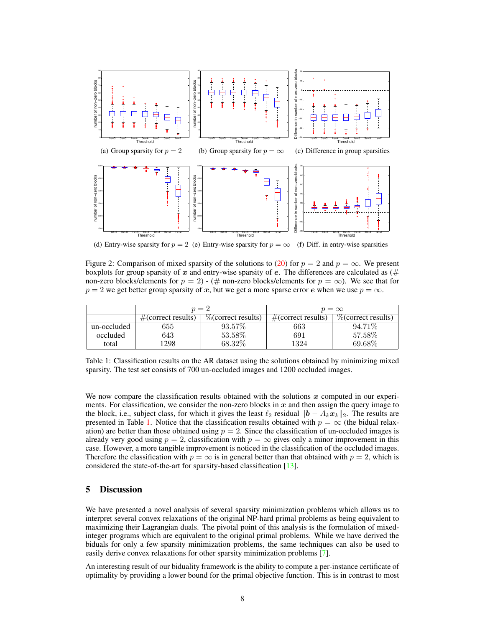

(d) Entry-wise sparsity for  $p = 2$  (e) Entry-wise sparsity for  $p = \infty$ (f) Diff. in entry-wise sparsities

Figure 2: Comparison of mixed sparsity of the solutions to (20) for  $p = 2$  and  $p = \infty$ . We present boxplots for group sparsity of x and entry-wise sparsity of e. The differences are calculated as  $(\#$ non-zero blocks/elements for  $p = 2$ ) - (# non-zero blocks/elements for  $p = \infty$ ). We see that for  $p = 2$  we get better group sparsity of x, but we get a more sparse error e when we use  $p = \infty$ .

|             | $n = 2$                |                        | $p = \infty$           |                                        |  |
|-------------|------------------------|------------------------|------------------------|----------------------------------------|--|
|             | $\#$ (correct results) | $\%$ (correct results) | $\#$ (correct results) | $\sqrt{\frac{1}{2}}$ (correct results) |  |
| un-occluded | 655                    | 93.57\%                | 663                    | 94.71\%                                |  |
| occluded    | 643                    | 53.58%                 | 691                    | 57.58%                                 |  |
| total       | 298                    | 68.32%                 | 1324                   | 69.68%                                 |  |

Table 1: Classification results on the AR dataset using the solutions obtained by minimizing mixed sparsity. The test set consists of 700 un-occluded images and 1200 occluded images.

We now compare the classification results obtained with the solutions  $x$  computed in our experiments. For classification, we consider the non-zero blocks in  $x$  and then assign the query image to the block, i.e., subject class, for which it gives the least  $\ell_2$  residual  $||\boldsymbol{b} - A_k \boldsymbol{x}_k||_2$ . The results are presented in Table 1. Notice that the classification results obtained with  $p = \infty$  (the bidual relaxation) are better than those obtained using  $p = 2$ . Since the classification of un-occluded images is already very good using  $p = 2$ , classification with  $p = \infty$  gives only a minor improvement in this case. However, a more tangible improvement is noticed in the classification of the occluded images. Therefore the classification with  $p = \infty$  is in general better than that obtained with  $p = 2$ , which is considered the state-of-the-art for sparsity-based classification [13].

## 5 Discussion

We have presented a novel analysis of several sparsity minimization problems which allows us to interpret several convex relaxations of the original NP-hard primal problems as being equivalent to maximizing their Lagrangian duals. The pivotal point of this analysis is the formulation of mixedinteger programs which are equivalent to the original primal problems. While we have derived the biduals for only a few sparsity minimization problems, the same techniques can also be used to easily derive convex relaxations for other sparsity minimization problems [7].

An interesting result of our biduality framework is the ability to compute a per-instance certificate of optimality by providing a lower bound for the primal objective function. This is in contrast to most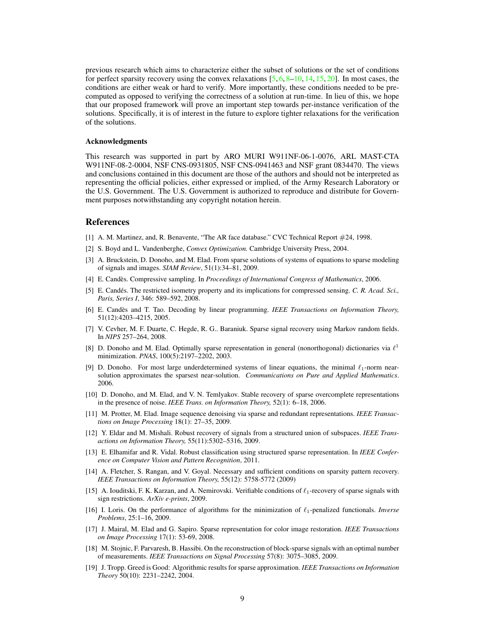previous research which aims to characterize either the subset of solutions or the set of conditions for perfect sparsity recovery using the convex relaxations  $[5, 6, 8-10, 14, 15, 20]$ . In most cases, the conditions are either weak or hard to verify. More importantly, these conditions needed to be precomputed as opposed to verifying the correctness of a solution at run-time. In lieu of this, we hope that our proposed framework will prove an important step towards per-instance verification of the solutions. Specifically, it is of interest in the future to explore tighter relaxations for the verification of the solutions.

#### Acknowledgments

This research was supported in part by ARO MURI W911NF-06-1-0076, ARL MAST-CTA W911NF-08-2-0004, NSF CNS-0931805, NSF CNS-0941463 and NSF grant 0834470. The views and conclusions contained in this document are those of the authors and should not be interpreted as representing the official policies, either expressed or implied, of the Army Research Laboratory or the U.S. Government. The U.S. Government is authorized to reproduce and distribute for Government purposes notwithstanding any copyright notation herein.

#### References

- [1] A. M. Martinez, and, R. Benavente, "The AR face database." CVC Technical Report #24, 1998.
- [2] S. Boyd and L. Vandenberghe, *Convex Optimization.* Cambridge University Press, 2004.
- [3] A. Bruckstein, D. Donoho, and M. Elad. From sparse solutions of systems of equations to sparse modeling of signals and images. *SIAM Review*, 51(1):34–81, 2009.
- [4] E. Candes. Compressive sampling. In ` *Proceedings of International Congress of Mathematics*, 2006.
- [5] E. Candés. The restricted isometry property and its implications for compressed sensing. *C. R. Acad. Sci.*, *Paris, Series I*, 346: 589–592, 2008.
- [6] E. Candes and T. Tao. Decoding by linear programming. ` *IEEE Transactions on Information Theory,* 51(12):4203–4215, 2005.
- [7] V. Cevher, M. F. Duarte, C. Hegde, R. G.. Baraniuk. Sparse signal recovery using Markov random fields. In *NIPS* 257–264, 2008.
- [8] D. Donoho and M. Elad. Optimally sparse representation in general (nonorthogonal) dictionaries via  $\ell^1$ minimization. *PNAS*, 100(5):2197–2202, 2003.
- [9] D. Donoho. For most large underdetermined systems of linear equations, the minimal  $\ell_1$ -norm nearsolution approximates the sparsest near-solution. *Communications on Pure and Applied Mathematics*. 2006.
- [10] D. Donoho, and M. Elad, and V. N. Temlyakov. Stable recovery of sparse overcomplete representations in the presence of noise. *IEEE Trans. on Information Theory,* 52(1): 6–18, 2006.
- [11] M. Protter, M. Elad. Image sequence denoising via sparse and redundant representations. *IEEE Transactions on Image Processing* 18(1): 27–35, 2009.
- [12] Y. Eldar and M. Mishali. Robust recovery of signals from a structured union of subspaces. *IEEE Transactions on Information Theory,* 55(11):5302–5316, 2009.
- [13] E. Elhamifar and R. Vidal. Robust classification using structured sparse representation. In *IEEE Conference on Computer Vision and Pattern Recognition*, 2011.
- [14] A. Fletcher, S. Rangan, and V. Goyal. Necessary and sufficient conditions on sparsity pattern recovery. *IEEE Transactions on Information Theory,* 55(12): 5758-5772 (2009)
- [15] A. Iouditski, F. K. Karzan, and A. Nemirovski. Verifiable conditions of  $\ell_1$ -recovery of sparse signals with sign restrictions. *ArXiv e-prints*, 2009.
- [16] I. Loris. On the performance of algorithms for the minimization of `1-penalized functionals. *Inverse Problems*, 25:1–16, 2009.
- [17] J. Mairal, M. Elad and G. Sapiro. Sparse representation for color image restoration. *IEEE Transactions on Image Processing* 17(1): 53-69, 2008.
- [18] M. Stojnic, F. Parvaresh, B. Hassibi. On the reconstruction of block-sparse signals with an optimal number of measurements. *IEEE Transactions on Signal Processing* 57(8): 3075–3085, 2009.
- [19] J. Tropp. Greed is Good: Algorithmic results for sparse approximation. *IEEE Transactions on Information Theory* 50(10): 2231–2242, 2004.